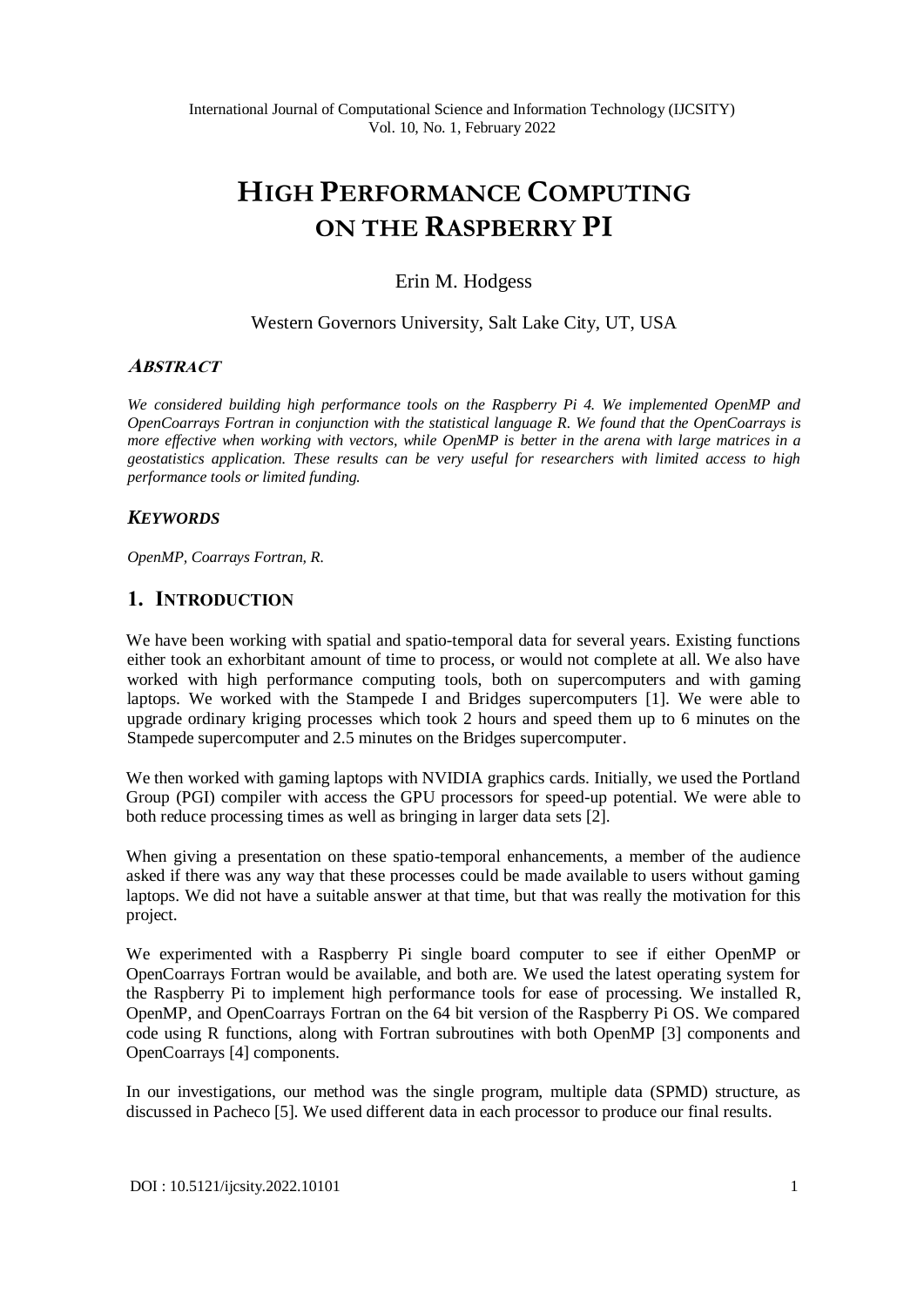# **HIGH PERFORMANCE COMPUTING ON THE RASPBERRY PI**

### Erin M. Hodgess

### Western Governors University, Salt Lake City, UT, USA

#### **ABSTRACT**

*We considered building high performance tools on the Raspberry Pi 4. We implemented OpenMP and OpenCoarrays Fortran in conjunction with the statistical language R. We found that the OpenCoarrays is more effective when working with vectors, while OpenMP is better in the arena with large matrices in a geostatistics application. These results can be very useful for researchers with limited access to high performance tools or limited funding.*

### *KEYWORDS*

*OpenMP, Coarrays Fortran, R.*

### **1. INTRODUCTION**

We have been working with spatial and spatio-temporal data for several years. Existing functions either took an exhorbitant amount of time to process, or would not complete at all. We also have worked with high performance computing tools, both on supercomputers and with gaming laptops. We worked with the Stampede I and Bridges supercomputers [1]. We were able to upgrade ordinary kriging processes which took 2 hours and speed them up to 6 minutes on the Stampede supercomputer and 2.5 minutes on the Bridges supercomputer.

We then worked with gaming laptops with NVIDIA graphics cards. Initially, we used the Portland Group (PGI) compiler with access the GPU processors for speed-up potential. We were able to both reduce processing times as well as bringing in larger data sets [2].

When giving a presentation on these spatio-temporal enhancements, a member of the audience asked if there was any way that these processes could be made available to users without gaming laptops. We did not have a suitable answer at that time, but that was really the motivation for this project.

We experimented with a Raspberry Pi single board computer to see if either OpenMP or OpenCoarrays Fortran would be available, and both are. We used the latest operating system for the Raspberry Pi to implement high performance tools for ease of processing. We installed R, OpenMP, and OpenCoarrays Fortran on the 64 bit version of the Raspberry Pi OS. We compared code using R functions, along with Fortran subroutines with both OpenMP [3] components and OpenCoarrays [4] components.

In our investigations, our method was the single program, multiple data (SPMD) structure, as discussed in Pacheco [5]. We used different data in each processor to produce our final results.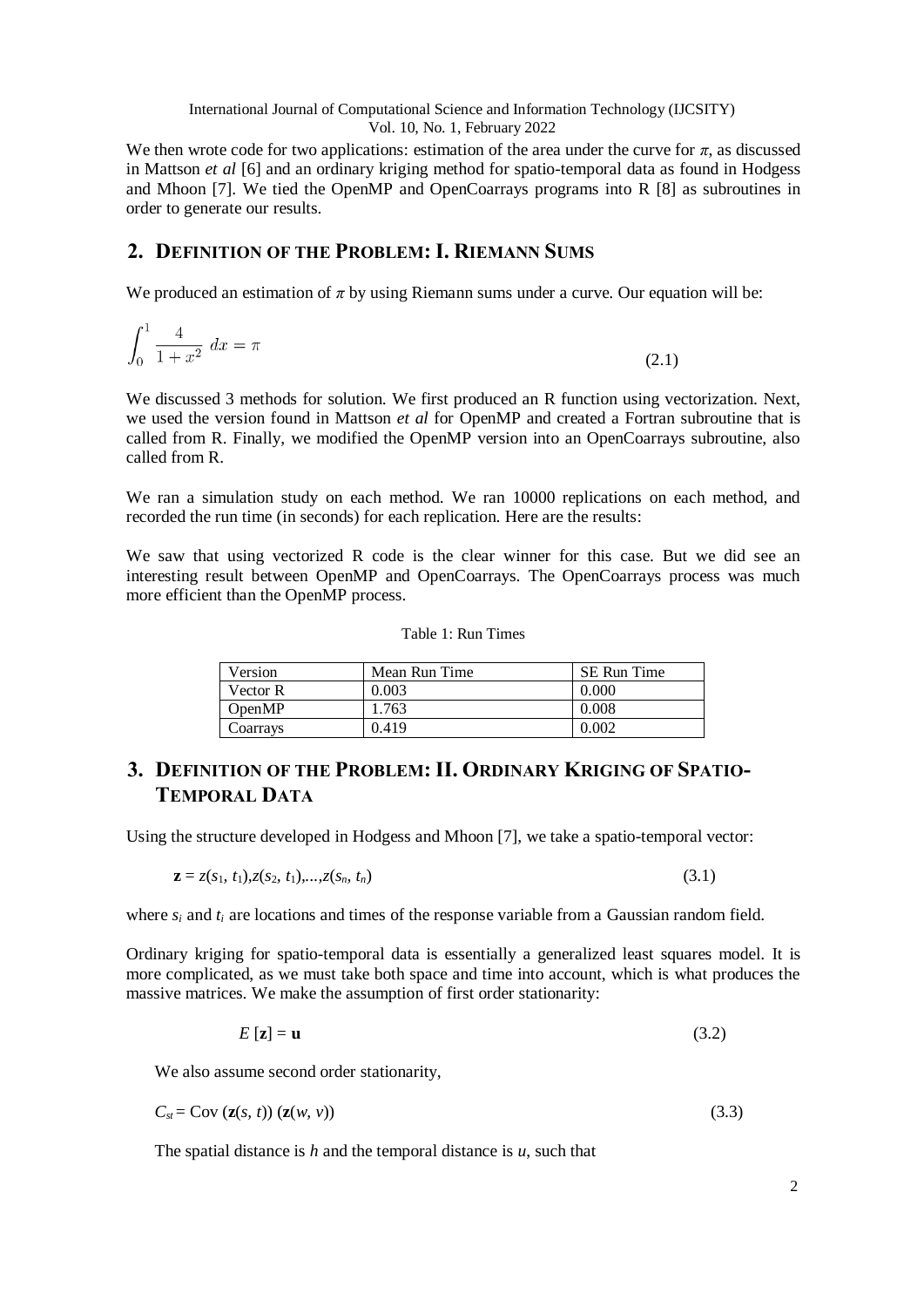International Journal of Computational Science and Information Technology (IJCSITY) Vol. 10, No. 1, February 2022

We then wrote code for two applications: estimation of the area under the curve for  $\pi$ , as discussed in Mattson *et al* [6] and an ordinary kriging method for spatio-temporal data as found in Hodgess and Mhoon [7]. We tied the OpenMP and OpenCoarrays programs into R [8] as subroutines in order to generate our results.

# **2. DEFINITION OF THE PROBLEM: I. RIEMANN SUMS**

We produced an estimation of  $\pi$  by using Riemann sums under a curve. Our equation will be:

$$
\int_0^1 \frac{4}{1+x^2} \, dx = \pi \tag{2.1}
$$

We discussed 3 methods for solution. We first produced an R function using vectorization. Next, we used the version found in Mattson *et al* for OpenMP and created a Fortran subroutine that is called from R. Finally, we modified the OpenMP version into an OpenCoarrays subroutine, also called from R.

We ran a simulation study on each method. We ran 10000 replications on each method, and recorded the run time (in seconds) for each replication. Here are the results:

We saw that using vectorized R code is the clear winner for this case. But we did see an interesting result between OpenMP and OpenCoarrays. The OpenCoarrays process was much more efficient than the OpenMP process.

#### Table 1: Run Times

| Version  | Mean Run Time | <b>SE Run Time</b> |  |
|----------|---------------|--------------------|--|
| Vector R | 0.003         | 0.000              |  |
| OpenMP   | 1.763         | 0.008              |  |
| Coarrays | 0.419         | 0.002              |  |

# **3. DEFINITION OF THE PROBLEM: II. ORDINARY KRIGING OF SPATIO-TEMPORAL DATA**

Using the structure developed in Hodgess and Mhoon [7], we take a spatio-temporal vector:

$$
\mathbf{z} = z(s_1, t_1), z(s_2, t_1), \dots, z(s_n, t_n) \tag{3.1}
$$

where *si* and *ti* are locations and times of the response variable from a Gaussian random field.

Ordinary kriging for spatio-temporal data is essentially a generalized least squares model. It is more complicated, as we must take both space and time into account, which is what produces the massive matrices. We make the assumption of first order stationarity:

$$
E\left[\mathbf{z}\right] = \mathbf{u} \tag{3.2}
$$

We also assume second order stationarity,

$$
C_{st} = \text{Cov}\left(\mathbf{z}(s, t)\right)\left(\mathbf{z}(w, v)\right) \tag{3.3}
$$

The spatial distance is *h* and the temporal distance is *u*, such that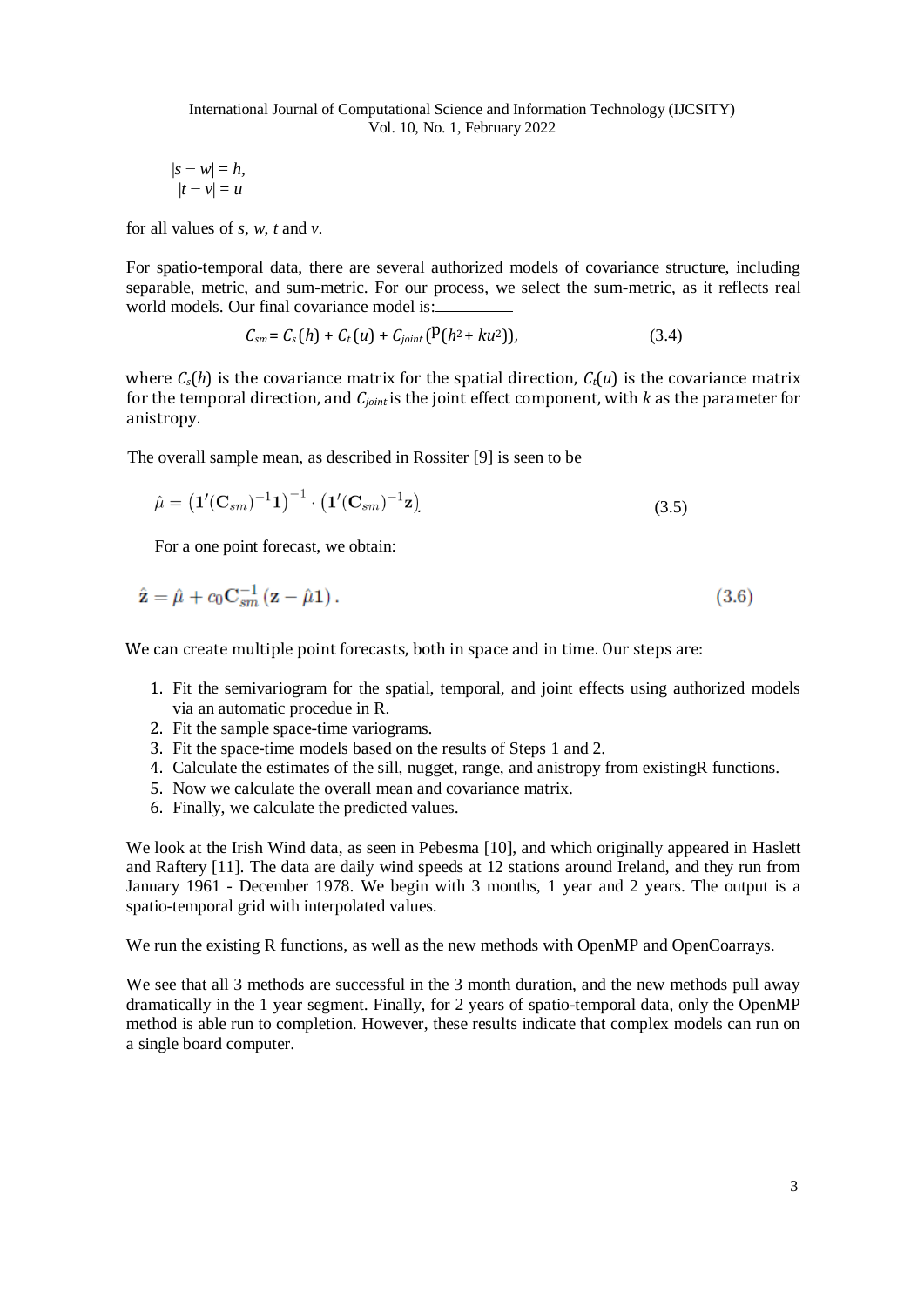$$
|s - w| = h,
$$
  

$$
|t - v| = u
$$

for all values of *s*, *w*, *t* and *v*.

For spatio-temporal data, there are several authorized models of covariance structure, including separable, metric, and sum-metric. For our process, we select the sum-metric, as it reflects real world models. Our final covariance model is:

$$
C_{sm} = C_s(h) + C_t(u) + C_{joint}(P(h^2 + ku^2)),
$$
\n(3.4)

where  $C_s(h)$  is the covariance matrix for the spatial direction,  $C_t(u)$  is the covariance matrix for the temporal direction, and *Cjoint* is the joint effect component, with *k* as the parameter for anistropy.

The overall sample mean, as described in Rossiter [9] is seen to be

$$
\hat{\mu} = \left(\mathbf{1}'(\mathbf{C}_{sm})^{-1}\mathbf{1}\right)^{-1} \cdot \left(\mathbf{1}'(\mathbf{C}_{sm})^{-1}\mathbf{z}\right)
$$
\n(3.5)

For a one point forecast, we obtain:

$$
\hat{\mathbf{z}} = \hat{\mu} + c_0 \mathbf{C}_{sm}^{-1} (\mathbf{z} - \hat{\mu} \mathbf{1}). \tag{3.6}
$$

We can create multiple point forecasts, both in space and in time. Our steps are:

- 1. Fit the semivariogram for the spatial, temporal, and joint effects using authorized models via an automatic procedue in R.
- 2. Fit the sample space-time variograms.
- 3. Fit the space-time models based on the results of Steps 1 and 2.
- 4. Calculate the estimates of the sill, nugget, range, and anistropy from existingR functions.
- 5. Now we calculate the overall mean and covariance matrix.
- 6. Finally, we calculate the predicted values.

We look at the Irish Wind data, as seen in Pebesma [10], and which originally appeared in Haslett and Raftery [11]. The data are daily wind speeds at 12 stations around Ireland, and they run from January 1961 - December 1978. We begin with 3 months, 1 year and 2 years. The output is a spatio-temporal grid with interpolated values.

We run the existing R functions, as well as the new methods with OpenMP and OpenCoarrays.

We see that all 3 methods are successful in the 3 month duration, and the new methods pull away dramatically in the 1 year segment. Finally, for 2 years of spatio-temporal data, only the OpenMP method is able run to completion. However, these results indicate that complex models can run on a single board computer.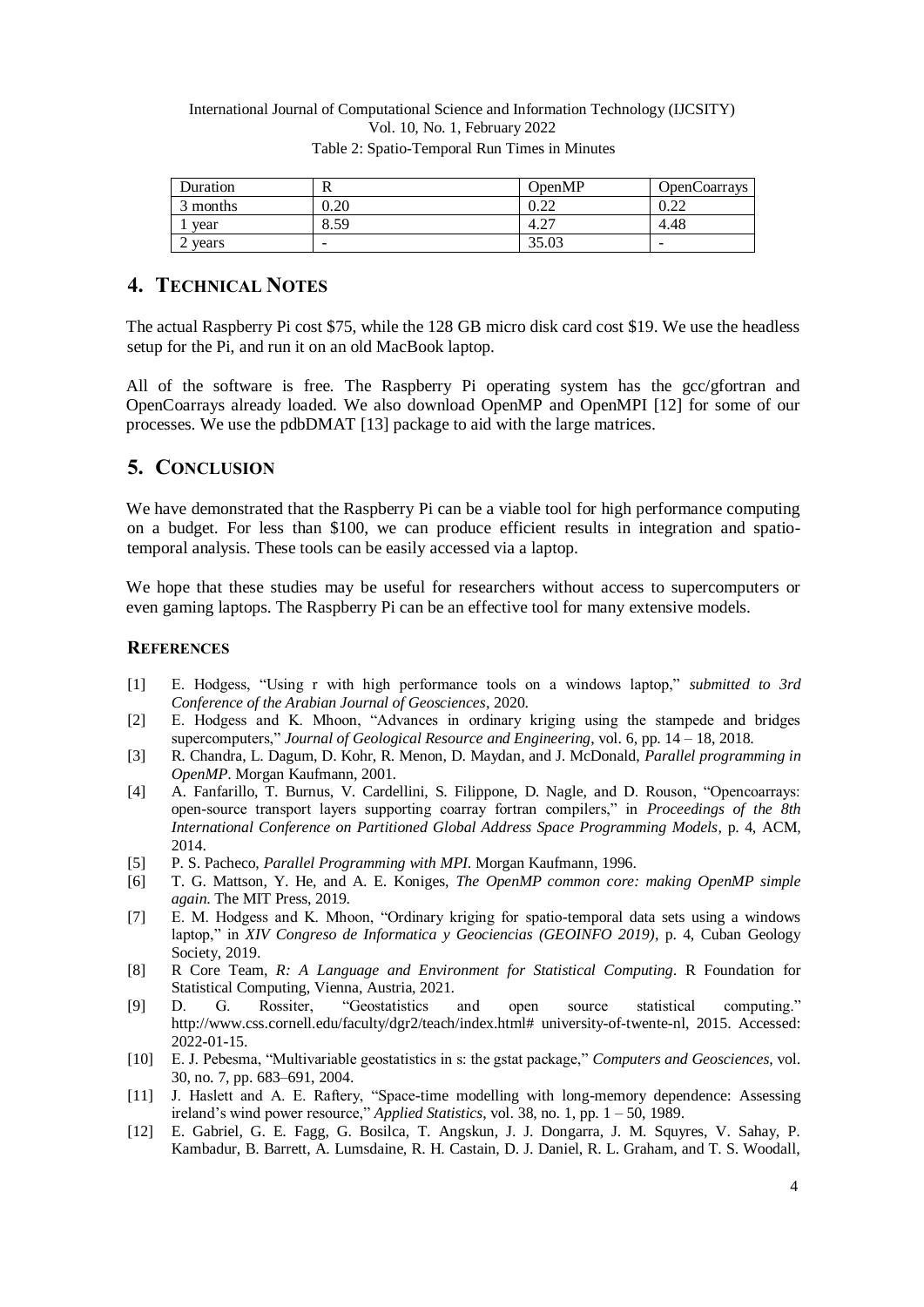#### International Journal of Computational Science and Information Technology (IJCSITY) Vol. 10, No. 1, February 2022 Table 2: Spatio-Temporal Run Times in Minutes

| Duration   | R    | OpenMP | OpenCoarrays |
|------------|------|--------|--------------|
| 3 months   | 0.20 | ∪.∠∠   | ∪.∠∠         |
| vear       | 8.59 | 4.27   | 4.48         |
| vears<br>↵ | -    | 35.03  | -            |

# **4. TECHNICAL NOTES**

The actual Raspberry Pi cost \$75, while the 128 GB micro disk card cost \$19. We use the headless setup for the Pi, and run it on an old MacBook laptop.

All of the software is free. The Raspberry Pi operating system has the gcc/gfortran and OpenCoarrays already loaded. We also download OpenMP and OpenMPI [12] for some of our processes. We use the pdbDMAT [13] package to aid with the large matrices.

### **5. CONCLUSION**

We have demonstrated that the Raspberry Pi can be a viable tool for high performance computing on a budget. For less than \$100, we can produce efficient results in integration and spatiotemporal analysis. These tools can be easily accessed via a laptop.

We hope that these studies may be useful for researchers without access to supercomputers or even gaming laptops. The Raspberry Pi can be an effective tool for many extensive models.

#### **REFERENCES**

- [1] E. Hodgess, "Using r with high performance tools on a windows laptop," *submitted to 3rd Conference of the Arabian Journal of Geosciences*, 2020.
- [2] E. Hodgess and K. Mhoon, "Advances in ordinary kriging using the stampede and bridges supercomputers," *Journal of Geological Resource and Engineering*, vol. 6, pp. 14 – 18, 2018.
- [3] R. Chandra, L. Dagum, D. Kohr, R. Menon, D. Maydan, and J. McDonald, *Parallel programming in OpenMP*. Morgan Kaufmann, 2001.
- [4] A. Fanfarillo, T. Burnus, V. Cardellini, S. Filippone, D. Nagle, and D. Rouson, "Opencoarrays: open-source transport layers supporting coarray fortran compilers," in *Proceedings of the 8th International Conference on Partitioned Global Address Space Programming Models*, p. 4, ACM, 2014.
- [5] P. S. Pacheco, *Parallel Programming with MPI*. Morgan Kaufmann, 1996.
- [6] T. G. Mattson, Y. He, and A. E. Koniges, *The OpenMP common core: making OpenMP simple again*. The MIT Press, 2019.
- [7] E. M. Hodgess and K. Mhoon, "Ordinary kriging for spatio-temporal data sets using a windows laptop," in *XIV Congreso de Informatica y Geociencias (GEOINFO 2019)*, p. 4, Cuban Geology Society, 2019.
- [8] R Core Team, *R: A Language and Environment for Statistical Computing*. R Foundation for Statistical Computing, Vienna, Austria, 2021.
- [9] D. G. Rossiter, "Geostatistics and open source statistical computing." [http://www.css.cornell.edu/faculty/dgr2/teach/index.html# university-of-twente-nl,](http://www.css.cornell.edu/faculty/dgr2/teach/index.html#university-of-twente-nl) 2015. Accessed: 2022-01-15.
- [10] E. J. Pebesma, "Multivariable geostatistics in s: the gstat package," *Computers and Geosciences*, vol. 30, no. 7, pp. 683–691, 2004.
- [11] J. Haslett and A. E. Raftery, "Space-time modelling with long-memory dependence: Assessing ireland's wind power resource," *Applied Statistics*, vol. 38, no. 1, pp. 1 – 50, 1989.
- [12] E. Gabriel, G. E. Fagg, G. Bosilca, T. Angskun, J. J. Dongarra, J. M. Squyres, V. Sahay, P. Kambadur, B. Barrett, A. Lumsdaine, R. H. Castain, D. J. Daniel, R. L. Graham, and T. S. Woodall,